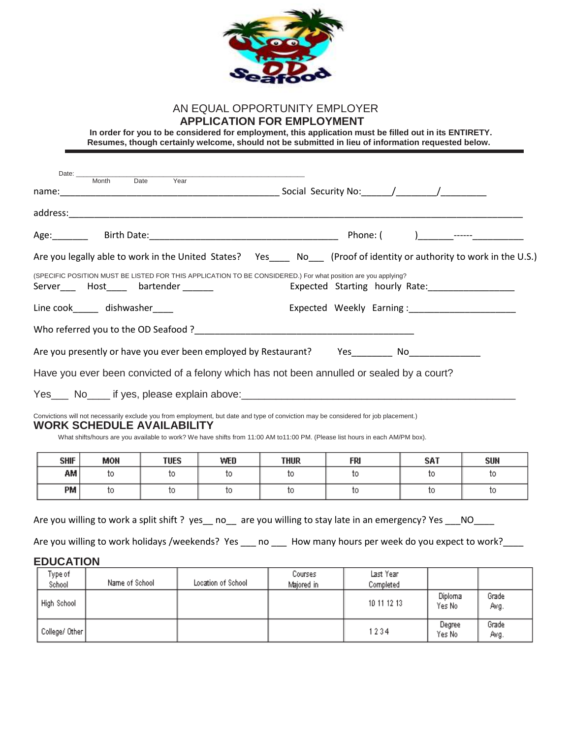

## AN EQUAL OPPORTUNITY EMPLOYER  **APPLICATION FOR EMPLOYMENT**

 **In order for you to be considered for employment, this application must be filled out in its ENTIRETY. Resumes, though certainly welcome, should not be submitted in lieu of information requested below.**

| Date: $\_\_$          |                                |                                        |                    |                    |                                                                                                                                                                                                                                                                     |                   |                   |  |  |  |
|-----------------------|--------------------------------|----------------------------------------|--------------------|--------------------|---------------------------------------------------------------------------------------------------------------------------------------------------------------------------------------------------------------------------------------------------------------------|-------------------|-------------------|--|--|--|
|                       | Month<br>Date<br>Year          |                                        |                    |                    |                                                                                                                                                                                                                                                                     |                   |                   |  |  |  |
|                       |                                |                                        |                    |                    |                                                                                                                                                                                                                                                                     |                   |                   |  |  |  |
|                       |                                |                                        |                    |                    |                                                                                                                                                                                                                                                                     |                   |                   |  |  |  |
|                       |                                |                                        |                    |                    | Are you legally able to work in the United States? Yes ____ No ___ (Proof of identity or authority to work in the U.S.)                                                                                                                                             |                   |                   |  |  |  |
|                       |                                | Server____ Host_____ bartender _______ |                    |                    | (SPECIFIC POSITION MUST BE LISTED FOR THIS APPLICATION TO BE CONSIDERED.) For what position are you applying?<br>Expected Starting hourly Rate: _________________                                                                                                   |                   |                   |  |  |  |
|                       | Line cook______ dishwasher____ |                                        |                    |                    | Expected Weekly Earning: Expected Weekly Earning:                                                                                                                                                                                                                   |                   |                   |  |  |  |
|                       |                                |                                        |                    |                    |                                                                                                                                                                                                                                                                     |                   |                   |  |  |  |
|                       |                                |                                        |                    |                    | Are you presently or have you ever been employed by Restaurant? Yes No                                                                                                                                                                                              |                   |                   |  |  |  |
|                       |                                |                                        |                    |                    |                                                                                                                                                                                                                                                                     |                   |                   |  |  |  |
|                       |                                |                                        |                    |                    | Have you ever been convicted of a felony which has not been annulled or sealed by a court?                                                                                                                                                                          |                   |                   |  |  |  |
|                       |                                |                                        |                    |                    |                                                                                                                                                                                                                                                                     |                   |                   |  |  |  |
|                       |                                |                                        |                    |                    |                                                                                                                                                                                                                                                                     |                   |                   |  |  |  |
|                       |                                | <b>WORK SCHEDULE AVAILABILITY</b>      |                    |                    | Convictions will not necessarily exclude you from employment, but date and type of conviction may be considered for job placement.)<br>What shifts/hours are you available to work? We have shifts from 11:00 AM to11:00 PM. (Please list hours in each AM/PM box). |                   |                   |  |  |  |
| <b>SHIF</b><br>АМ     | MON<br>to.                     | <b>TUES</b><br>to                      | WED<br>to.         | <b>THUR</b><br>to. | FRI<br>to.                                                                                                                                                                                                                                                          | <b>SAT</b><br>to. | <b>SUN</b><br>to. |  |  |  |
| PМ                    | to                             | to                                     | to.                | to                 | to.                                                                                                                                                                                                                                                                 | to.               | to                |  |  |  |
| <b>EDUCATION</b>      |                                |                                        |                    |                    | Are you willing to work a split shift? yes __ no__ are you willing to stay late in an emergency? Yes __ NO<br>Are you willing to work holidays /weekends? Yes __ no __ How many hours per week do you expect to work?                                               |                   |                   |  |  |  |
| Type of               |                                |                                        |                    | Courses            | Last Year                                                                                                                                                                                                                                                           |                   |                   |  |  |  |
| School<br>High School | Name of School                 |                                        | Location of School | Majored in         | Completed<br>10 11 12 13                                                                                                                                                                                                                                            | Diploma<br>Yes No | Grade<br>Avg.     |  |  |  |